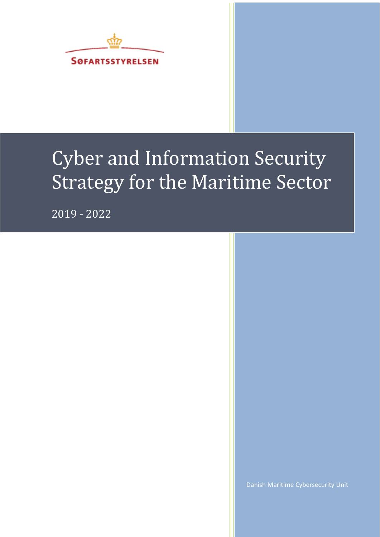

# Cyber and Information Security Strategy for the Maritime Sector

2019 - 2022

Danish Maritime Cybersecurity Unit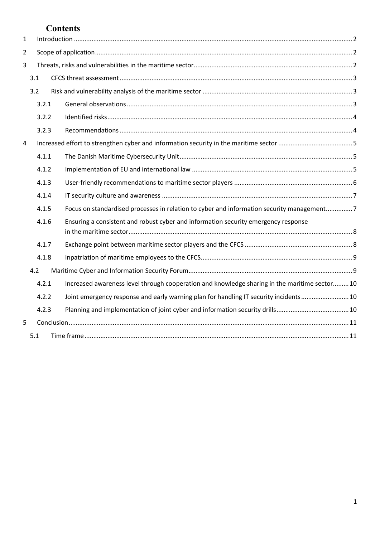# **Contents**

| $\mathbf{1}$   |       |  |                                                                                               |  |
|----------------|-------|--|-----------------------------------------------------------------------------------------------|--|
| $\overline{2}$ |       |  |                                                                                               |  |
| 3              |       |  |                                                                                               |  |
|                | 3.1   |  |                                                                                               |  |
|                | 3.2   |  |                                                                                               |  |
|                | 3.2.1 |  |                                                                                               |  |
|                | 3.2.2 |  |                                                                                               |  |
|                | 3.2.3 |  |                                                                                               |  |
| 4              |       |  |                                                                                               |  |
|                | 4.1.1 |  |                                                                                               |  |
|                | 4.1.2 |  |                                                                                               |  |
|                | 4.1.3 |  |                                                                                               |  |
|                | 4.1.4 |  |                                                                                               |  |
|                | 4.1.5 |  | Focus on standardised processes in relation to cyber and information security management7     |  |
|                | 4.1.6 |  | Ensuring a consistent and robust cyber and information security emergency response            |  |
|                | 4.1.7 |  |                                                                                               |  |
|                | 4.1.8 |  |                                                                                               |  |
|                | 4.2   |  |                                                                                               |  |
|                | 4.2.1 |  | Increased awareness level through cooperation and knowledge sharing in the maritime sector 10 |  |
|                | 4.2.2 |  | Joint emergency response and early warning plan for handling IT security incidents 10         |  |
|                | 4.2.3 |  |                                                                                               |  |
| 5              |       |  |                                                                                               |  |
|                | 5.1   |  |                                                                                               |  |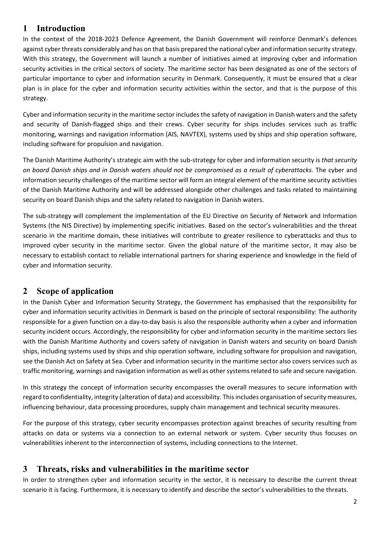# <span id="page-2-0"></span>**1 Introduction**

In the context of the 2018-2023 Defence Agreement, the Danish Government will reinforce Denmark's defences against cyber threats considerably and has on that basis prepared the national cyber and information security strategy. With this strategy, the Government will launch a number of initiatives aimed at improving cyber and information security activities in the critical sectors of society. The maritime sector has been designated as one of the sectors of particular importance to cyber and information security in Denmark. Consequently, it must be ensured that a clear plan is in place for the cyber and information security activities within the sector, and that is the purpose of this strategy.

Cyber and information security in the maritime sector includes the safety of navigation in Danish waters and the safety and security of Danish-flagged ships and their crews. Cyber security for ships includes services such as traffic monitoring, warnings and navigation information (AIS, NAVTEX), systems used by ships and ship operation software, including software for propulsion and navigation.

The Danish Maritime Authority's strategic aim with the sub-strategy for cyber and information security is *that security on board Danish ships and in Danish waters should not be compromised as a result of cyberattacks.* The cyber and information security challenges of the maritime sector will form an integral element of the maritime security activities of the Danish Maritime Authority and will be addressed alongside other challenges and tasks related to maintaining security on board Danish ships and the safety related to navigation in Danish waters.

The sub-strategy will complement the implementation of the EU Directive on Security of Network and Information Systems (the NIS Directive) by implementing specific initiatives. Based on the sector's vulnerabilities and the threat scenario in the maritime domain, these initiatives will contribute to greater resilience to cyberattacks and thus to improved cyber security in the maritime sector. Given the global nature of the maritime sector, it may also be necessary to establish contact to reliable international partners for sharing experience and knowledge in the field of cyber and information security.

# <span id="page-2-1"></span>**2 Scope of application**

In the Danish Cyber and Information Security Strategy, the Government has emphasised that the responsibility for cyber and information security activities in Denmark is based on the principle of sectoral responsibility: The authority responsible for a given function on a day-to-day basis is also the responsible authority when a cyber and information security incident occurs. Accordingly, the responsibility for cyber and information security in the maritime sectors lies with the Danish Maritime Authority and covers safety of navigation in Danish waters and security on board Danish ships, including systems used by ships and ship operation software, including software for propulsion and navigation, see the Danish Act on Safety at Sea. Cyber and information security in the maritime sector also covers services such as traffic monitoring, warnings and navigation information as well as other systems related to safe and secure navigation.

In this strategy the concept of information security encompasses the overall measures to secure information with regard to confidentiality, integrity (alteration of data) and accessibility. This includes organisation of security measures, influencing behaviour, data processing procedures, supply chain management and technical security measures.

For the purpose of this strategy, cyber security encompasses protection against breaches of security resulting from attacks on data or systems via a connection to an external network or system. Cyber security thus focuses on vulnerabilities inherent to the interconnection of systems, including connections to the Internet.

### <span id="page-2-2"></span>**3 Threats, risks and vulnerabilities in the maritime sector**

In order to strengthen cyber and information security in the sector, it is necessary to describe the current threat scenario it is facing. Furthermore, it is necessary to identify and describe the sector's vulnerabilities to the threats.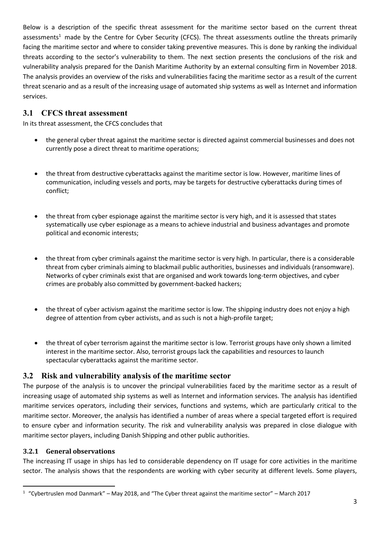Below is a description of the specific threat assessment for the maritime sector based on the current threat assessments<sup>1</sup> made by the Centre for Cyber Security (CFCS). The threat assessments outline the threats primarily facing the maritime sector and where to consider taking preventive measures. This is done by ranking the individual threats according to the sector's vulnerability to them. The next section presents the conclusions of the risk and vulnerability analysis prepared for the Danish Maritime Authority by an external consulting firm in November 2018. The analysis provides an overview of the risks and vulnerabilities facing the maritime sector as a result of the current threat scenario and as a result of the increasing usage of automated ship systems as well as Internet and information services.

#### <span id="page-3-0"></span>**3.1 CFCS threat assessment**

In its threat assessment, the CFCS concludes that

- the general cyber threat against the maritime sector is directed against commercial businesses and does not currently pose a direct threat to maritime operations;
- the threat from destructive cyberattacks against the maritime sector is low. However, maritime lines of communication, including vessels and ports, may be targets for destructive cyberattacks during times of conflict;
- the threat from cyber espionage against the maritime sector is very high, and it is assessed that states systematically use cyber espionage as a means to achieve industrial and business advantages and promote political and economic interests;
- the threat from cyber criminals against the maritime sector is very high. In particular, there is a considerable threat from cyber criminals aiming to blackmail public authorities, businesses and individuals (ransomware). Networks of cyber criminals exist that are organised and work towards long-term objectives, and cyber crimes are probably also committed by government-backed hackers;
- the threat of cyber activism against the maritime sector is low. The shipping industry does not enjoy a high degree of attention from cyber activists, and as such is not a high-profile target;
- the threat of cyber terrorism against the maritime sector is low. Terrorist groups have only shown a limited interest in the maritime sector. Also, terrorist groups lack the capabilities and resources to launch spectacular cyberattacks against the maritime sector.

#### <span id="page-3-1"></span>**3.2 Risk and vulnerability analysis of the maritime sector**

The purpose of the analysis is to uncover the principal vulnerabilities faced by the maritime sector as a result of increasing usage of automated ship systems as well as Internet and information services. The analysis has identified maritime services operators, including their services, functions and systems, which are particularly critical to the maritime sector. Moreover, the analysis has identified a number of areas where a special targeted effort is required to ensure cyber and information security. The risk and vulnerability analysis was prepared in close dialogue with maritime sector players, including Danish Shipping and other public authorities.

#### <span id="page-3-2"></span>**3.2.1 General observations**

1

The increasing IT usage in ships has led to considerable dependency on IT usage for core activities in the maritime sector. The analysis shows that the respondents are working with cyber security at different levels. Some players,

 $1$  "Cybertruslen mod Danmark" – May 2018, and "The Cyber threat against the maritime sector" – March 2017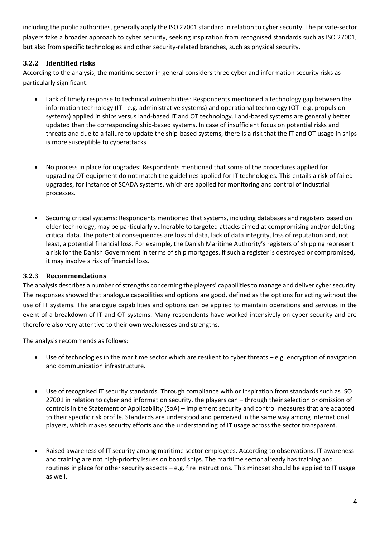including the public authorities, generally apply the ISO 27001 standard in relation to cyber security. The private-sector players take a broader approach to cyber security, seeking inspiration from recognised standards such as ISO 27001, but also from specific technologies and other security-related branches, such as physical security.

#### <span id="page-4-0"></span>**3.2.2 Identified risks**

According to the analysis, the maritime sector in general considers three cyber and information security risks as particularly significant:

- Lack of timely response to technical vulnerabilities: Respondents mentioned a technology gap between the information technology (IT - e.g. administrative systems) and operational technology (OT- e.g. propulsion systems) applied in ships versus land-based IT and OT technology. Land-based systems are generally better updated than the corresponding ship-based systems. In case of insufficient focus on potential risks and threats and due to a failure to update the ship-based systems, there is a risk that the IT and OT usage in ships is more susceptible to cyberattacks.
- No process in place for upgrades: Respondents mentioned that some of the procedures applied for upgrading OT equipment do not match the guidelines applied for IT technologies. This entails a risk of failed upgrades, for instance of SCADA systems, which are applied for monitoring and control of industrial processes.
- Securing critical systems: Respondents mentioned that systems, including databases and registers based on older technology, may be particularly vulnerable to targeted attacks aimed at compromising and/or deleting critical data. The potential consequences are loss of data, lack of data integrity, loss of reputation and, not least, a potential financial loss. For example, the Danish Maritime Authority's registers of shipping represent a risk for the Danish Government in terms of ship mortgages. If such a register is destroyed or compromised, it may involve a risk of financial loss.

#### <span id="page-4-1"></span>**3.2.3 Recommendations**

The analysis describes a number of strengths concerning the players' capabilities to manage and deliver cyber security. The responses showed that analogue capabilities and options are good, defined as the options for acting without the use of IT systems. The analogue capabilities and options can be applied to maintain operations and services in the event of a breakdown of IT and OT systems. Many respondents have worked intensively on cyber security and are therefore also very attentive to their own weaknesses and strengths.

The analysis recommends as follows:

- Use of technologies in the maritime sector which are resilient to cyber threats e.g. encryption of navigation and communication infrastructure.
- Use of recognised IT security standards. Through compliance with or inspiration from standards such as ISO 27001 in relation to cyber and information security, the players can – through their selection or omission of controls in the Statement of Applicability (SoA) – implement security and control measures that are adapted to their specific risk profile. Standards are understood and perceived in the same way among international players, which makes security efforts and the understanding of IT usage across the sector transparent.
- Raised awareness of IT security among maritime sector employees. According to observations, IT awareness and training are not high-priority issues on board ships. The maritime sector already has training and routines in place for other security aspects – e.g. fire instructions. This mindset should be applied to IT usage as well.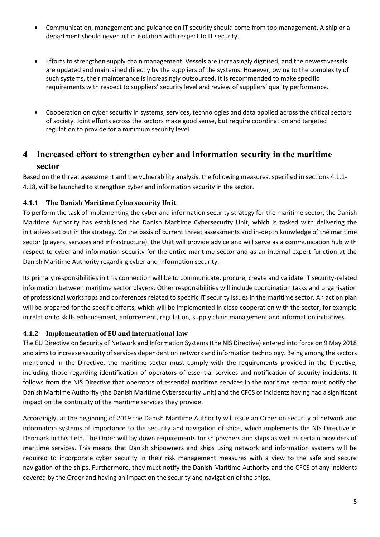- Communication, management and guidance on IT security should come from top management. A ship or a department should never act in isolation with respect to IT security.
- Efforts to strengthen supply chain management. Vessels are increasingly digitised, and the newest vessels are updated and maintained directly by the suppliers of the systems. However, owing to the complexity of such systems, their maintenance is increasingly outsourced. It is recommended to make specific requirements with respect to suppliers' security level and review of suppliers' quality performance.
- Cooperation on cyber security in systems, services, technologies and data applied across the critical sectors of society. Joint efforts across the sectors make good sense, but require coordination and targeted regulation to provide for a minimum security level.

## <span id="page-5-0"></span>**4 Increased effort to strengthen cyber and information security in the maritime sector**

Based on the threat assessment and the vulnerability analysis, the following measures, specified in sections 4.1.1- 4.18, will be launched to strengthen cyber and information security in the sector.

#### <span id="page-5-1"></span>**4.1.1 The Danish Maritime Cybersecurity Unit**

To perform the task of implementing the cyber and information security strategy for the maritime sector, the Danish Maritime Authority has established the Danish Maritime Cybersecurity Unit, which is tasked with delivering the initiatives set out in the strategy. On the basis of current threat assessments and in-depth knowledge of the maritime sector (players, services and infrastructure), the Unit will provide advice and will serve as a communication hub with respect to cyber and information security for the entire maritime sector and as an internal expert function at the Danish Maritime Authority regarding cyber and information security.

Its primary responsibilities in this connection will be to communicate, procure, create and validate IT security-related information between maritime sector players. Other responsibilities will include coordination tasks and organisation of professional workshops and conferences related to specific IT security issues in the maritime sector. An action plan will be prepared for the specific efforts, which will be implemented in close cooperation with the sector, for example in relation to skills enhancement, enforcement, regulation, supply chain management and information initiatives.

#### <span id="page-5-2"></span>**4.1.2 Implementation of EU and international law**

The EU Directive on Security of Network and Information Systems (the NIS Directive) entered into force on 9 May 2018 and aims to increase security of services dependent on network and information technology. Being among the sectors mentioned in the Directive, the maritime sector must comply with the requirements provided in the Directive, including those regarding identification of operators of essential services and notification of security incidents. It follows from the NIS Directive that operators of essential maritime services in the maritime sector must notify the Danish Maritime Authority (the Danish Maritime Cybersecurity Unit) and the CFCS of incidents having had a significant impact on the continuity of the maritime services they provide.

Accordingly, at the beginning of 2019 the Danish Maritime Authority will issue an Order on security of network and information systems of importance to the security and navigation of ships, which implements the NIS Directive in Denmark in this field. The Order will lay down requirements for shipowners and ships as well as certain providers of maritime services. This means that Danish shipowners and ships using network and information systems will be required to incorporate cyber security in their risk management measures with a view to the safe and secure navigation of the ships. Furthermore, they must notify the Danish Maritime Authority and the CFCS of any incidents covered by the Order and having an impact on the security and navigation of the ships.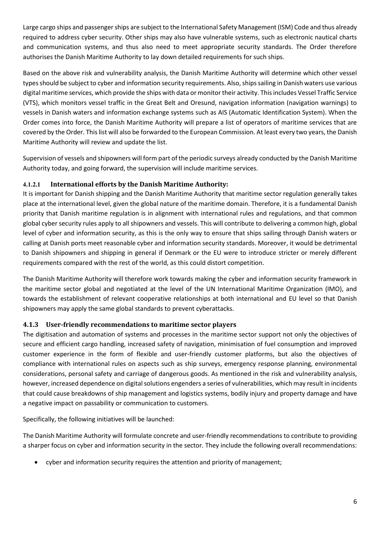Large cargo ships and passenger ships are subject to the International Safety Management (ISM) Code and thus already required to address cyber security. Other ships may also have vulnerable systems, such as electronic nautical charts and communication systems, and thus also need to meet appropriate security standards. The Order therefore authorises the Danish Maritime Authority to lay down detailed requirements for such ships.

Based on the above risk and vulnerability analysis, the Danish Maritime Authority will determine which other vessel types should be subject to cyber and information security requirements. Also, ships sailing in Danish waters use various digital maritime services, which provide the ships with data or monitor their activity. This includes Vessel Traffic Service (VTS), which monitors vessel traffic in the Great Belt and Oresund, navigation information (navigation warnings) to vessels in Danish waters and information exchange systems such as AIS (Automatic Identification System). When the Order comes into force, the Danish Maritime Authority will prepare a list of operators of maritime services that are covered by the Order. This list will also be forwarded to the European Commission. At least every two years, the Danish Maritime Authority will review and update the list.

Supervision of vessels and shipowners will form part of the periodic surveys already conducted by the Danish Maritime Authority today, and going forward, the supervision will include maritime services.

#### **4.1.2.1 International efforts by the Danish Maritime Authority:**

It is important for Danish shipping and the Danish Maritime Authority that maritime sector regulation generally takes place at the international level, given the global nature of the maritime domain. Therefore, it is a fundamental Danish priority that Danish maritime regulation is in alignment with international rules and regulations, and that common global cyber security rules apply to all shipowners and vessels. This will contribute to delivering a common high, global level of cyber and information security, as this is the only way to ensure that ships sailing through Danish waters or calling at Danish ports meet reasonable cyber and information security standards. Moreover, it would be detrimental to Danish shipowners and shipping in general if Denmark or the EU were to introduce stricter or merely different requirements compared with the rest of the world, as this could distort competition.

The Danish Maritime Authority will therefore work towards making the cyber and information security framework in the maritime sector global and negotiated at the level of the UN International Maritime Organization (IMO), and towards the establishment of relevant cooperative relationships at both international and EU level so that Danish shipowners may apply the same global standards to prevent cyberattacks.

#### <span id="page-6-0"></span>**4.1.3 User-friendly recommendations to maritime sector players**

The digitisation and automation of systems and processes in the maritime sector support not only the objectives of secure and efficient cargo handling, increased safety of navigation, minimisation of fuel consumption and improved customer experience in the form of flexible and user-friendly customer platforms, but also the objectives of compliance with international rules on aspects such as ship surveys, emergency response planning, environmental considerations, personal safety and carriage of dangerous goods. As mentioned in the risk and vulnerability analysis, however, increased dependence on digital solutions engenders a series of vulnerabilities, which may result in incidents that could cause breakdowns of ship management and logistics systems, bodily injury and property damage and have a negative impact on passability or communication to customers.

Specifically, the following initiatives will be launched:

The Danish Maritime Authority will formulate concrete and user-friendly recommendations to contribute to providing a sharper focus on cyber and information security in the sector. They include the following overall recommendations:

cyber and information security requires the attention and priority of management;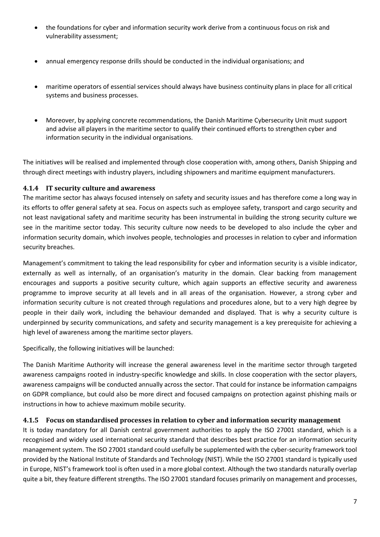- the foundations for cyber and information security work derive from a continuous focus on risk and vulnerability assessment;
- annual emergency response drills should be conducted in the individual organisations; and
- maritime operators of essential services should always have business continuity plans in place for all critical systems and business processes.
- Moreover, by applying concrete recommendations, the Danish Maritime Cybersecurity Unit must support and advise all players in the maritime sector to qualify their continued efforts to strengthen cyber and information security in the individual organisations.

The initiatives will be realised and implemented through close cooperation with, among others, Danish Shipping and through direct meetings with industry players, including shipowners and maritime equipment manufacturers.

#### <span id="page-7-0"></span>**4.1.4 IT security culture and awareness**

The maritime sector has always focused intensely on safety and security issues and has therefore come a long way in its efforts to offer general safety at sea. Focus on aspects such as employee safety, transport and cargo security and not least navigational safety and maritime security has been instrumental in building the strong security culture we see in the maritime sector today. This security culture now needs to be developed to also include the cyber and information security domain, which involves people, technologies and processes in relation to cyber and information security breaches.

Management's commitment to taking the lead responsibility for cyber and information security is a visible indicator, externally as well as internally, of an organisation's maturity in the domain. Clear backing from management encourages and supports a positive security culture, which again supports an effective security and awareness programme to improve security at all levels and in all areas of the organisation. However, a strong cyber and information security culture is not created through regulations and procedures alone, but to a very high degree by people in their daily work, including the behaviour demanded and displayed. That is why a security culture is underpinned by security communications, and safety and security management is a key prerequisite for achieving a high level of awareness among the maritime sector players.

Specifically, the following initiatives will be launched:

The Danish Maritime Authority will increase the general awareness level in the maritime sector through targeted awareness campaigns rooted in industry-specific knowledge and skills. In close cooperation with the sector players, awareness campaigns will be conducted annually across the sector. That could for instance be information campaigns on GDPR compliance, but could also be more direct and focused campaigns on protection against phishing mails or instructions in how to achieve maximum mobile security.

#### <span id="page-7-1"></span>**4.1.5 Focus on standardised processes in relation to cyber and information security management**

It is today mandatory for all Danish central government authorities to apply the ISO 27001 standard, which is a recognised and widely used international security standard that describes best practice for an information security management system. The ISO 27001 standard could usefully be supplemented with the cyber-security framework tool provided by the National Institute of Standards and Technology (NIST). While the ISO 27001 standard is typically used in Europe, NIST's framework tool is often used in a more global context. Although the two standards naturally overlap quite a bit, they feature different strengths. The ISO 27001 standard focuses primarily on management and processes,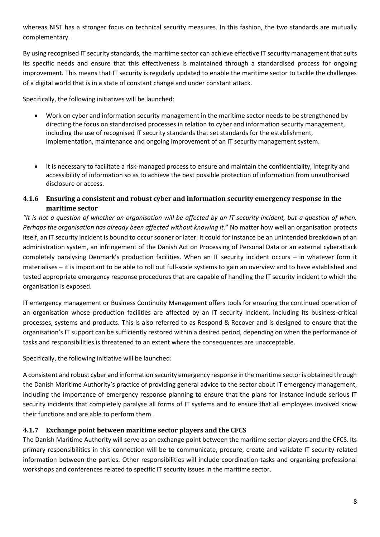whereas NIST has a stronger focus on technical security measures. In this fashion, the two standards are mutually complementary.

By using recognised IT security standards, the maritime sector can achieve effective IT security management that suits its specific needs and ensure that this effectiveness is maintained through a standardised process for ongoing improvement. This means that IT security is regularly updated to enable the maritime sector to tackle the challenges of a digital world that is in a state of constant change and under constant attack.

Specifically, the following initiatives will be launched:

- Work on cyber and information security management in the maritime sector needs to be strengthened by directing the focus on standardised processes in relation to cyber and information security management, including the use of recognised IT security standards that set standards for the establishment, implementation, maintenance and ongoing improvement of an IT security management system.
- It is necessary to facilitate a risk-managed process to ensure and maintain the confidentiality, integrity and accessibility of information so as to achieve the best possible protection of information from unauthorised disclosure or access.

#### <span id="page-8-0"></span>**4.1.6 Ensuring a consistent and robust cyber and information security emergency response in the maritime sector**

*"It is not a question of whether an organisation will be affected by an IT security incident, but a question of when. Perhaps the organisation has already been affected without knowing it.*" No matter how well an organisation protects itself, an IT security incident is bound to occur sooner or later. It could for instance be an unintended breakdown of an administration system, an infringement of the Danish Act on Processing of Personal Data or an external cyberattack completely paralysing Denmark's production facilities. When an IT security incident occurs – in whatever form it materialises – it is important to be able to roll out full-scale systems to gain an overview and to have established and tested appropriate emergency response procedures that are capable of handling the IT security incident to which the organisation is exposed.

IT emergency management or Business Continuity Management offers tools for ensuring the continued operation of an organisation whose production facilities are affected by an IT security incident, including its business-critical processes, systems and products. This is also referred to as Respond & Recover and is designed to ensure that the organisation's IT support can be sufficiently restored within a desired period, depending on when the performance of tasks and responsibilities is threatened to an extent where the consequences are unacceptable.

Specifically, the following initiative will be launched:

A consistent and robust cyber and information security emergency response in the maritime sector is obtained through the Danish Maritime Authority's practice of providing general advice to the sector about IT emergency management, including the importance of emergency response planning to ensure that the plans for instance include serious IT security incidents that completely paralyse all forms of IT systems and to ensure that all employees involved know their functions and are able to perform them.

#### <span id="page-8-1"></span>**4.1.7 Exchange point between maritime sector players and the CFCS**

The Danish Maritime Authority will serve as an exchange point between the maritime sector players and the CFCS. Its primary responsibilities in this connection will be to communicate, procure, create and validate IT security-related information between the parties. Other responsibilities will include coordination tasks and organising professional workshops and conferences related to specific IT security issues in the maritime sector.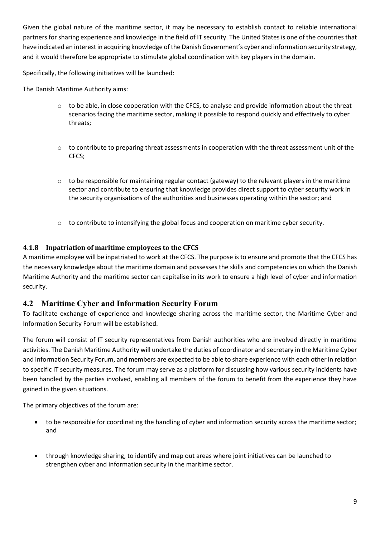Given the global nature of the maritime sector, it may be necessary to establish contact to reliable international partners for sharing experience and knowledge in the field of IT security. The United States is one of the countries that have indicated an interest in acquiring knowledge of the Danish Government's cyber and information security strategy, and it would therefore be appropriate to stimulate global coordination with key players in the domain.

Specifically, the following initiatives will be launched:

The Danish Maritime Authority aims:

- o to be able, in close cooperation with the CFCS, to analyse and provide information about the threat scenarios facing the maritime sector, making it possible to respond quickly and effectively to cyber threats;
- $\circ$  to contribute to preparing threat assessments in cooperation with the threat assessment unit of the CFCS;
- $\circ$  to be responsible for maintaining regular contact (gateway) to the relevant players in the maritime sector and contribute to ensuring that knowledge provides direct support to cyber security work in the security organisations of the authorities and businesses operating within the sector; and
- o to contribute to intensifying the global focus and cooperation on maritime cyber security.

#### <span id="page-9-0"></span>**4.1.8 Inpatriation of maritime employees to the CFCS**

A maritime employee will be inpatriated to work at the CFCS. The purpose is to ensure and promote that the CFCS has the necessary knowledge about the maritime domain and possesses the skills and competencies on which the Danish Maritime Authority and the maritime sector can capitalise in its work to ensure a high level of cyber and information security.

#### <span id="page-9-1"></span>**4.2 Maritime Cyber and Information Security Forum**

To facilitate exchange of experience and knowledge sharing across the maritime sector, the Maritime Cyber and Information Security Forum will be established.

The forum will consist of IT security representatives from Danish authorities who are involved directly in maritime activities. The Danish Maritime Authority will undertake the duties of coordinator and secretary in the Maritime Cyber and Information Security Forum, and members are expected to be able to share experience with each other in relation to specific IT security measures. The forum may serve as a platform for discussing how various security incidents have been handled by the parties involved, enabling all members of the forum to benefit from the experience they have gained in the given situations.

The primary objectives of the forum are:

- to be responsible for coordinating the handling of cyber and information security across the maritime sector; and
- through knowledge sharing, to identify and map out areas where joint initiatives can be launched to strengthen cyber and information security in the maritime sector.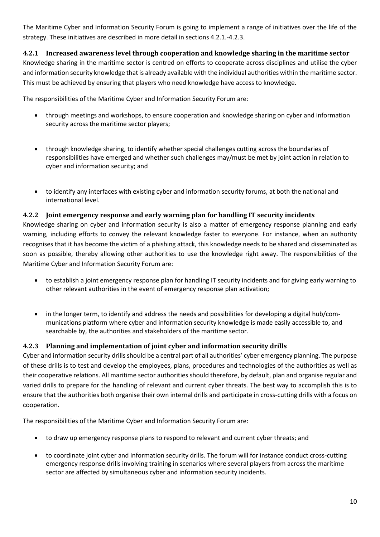The Maritime Cyber and Information Security Forum is going to implement a range of initiatives over the life of the strategy. These initiatives are described in more detail in sections 4.2.1.-4.2.3.

#### <span id="page-10-0"></span>**4.2.1 Increased awareness level through cooperation and knowledge sharing in the maritime sector**

Knowledge sharing in the maritime sector is centred on efforts to cooperate across disciplines and utilise the cyber and information security knowledge that is already available with the individual authorities within the maritime sector. This must be achieved by ensuring that players who need knowledge have access to knowledge.

The responsibilities of the Maritime Cyber and Information Security Forum are:

- through meetings and workshops, to ensure cooperation and knowledge sharing on cyber and information security across the maritime sector players;
- through knowledge sharing, to identify whether special challenges cutting across the boundaries of responsibilities have emerged and whether such challenges may/must be met by joint action in relation to cyber and information security; and
- to identify any interfaces with existing cyber and information security forums, at both the national and international level.

#### <span id="page-10-1"></span>**4.2.2 Joint emergency response and early warning plan for handling IT security incidents**

Knowledge sharing on cyber and information security is also a matter of emergency response planning and early warning, including efforts to convey the relevant knowledge faster to everyone. For instance, when an authority recognises that it has become the victim of a phishing attack, this knowledge needs to be shared and disseminated as soon as possible, thereby allowing other authorities to use the knowledge right away. The responsibilities of the Maritime Cyber and Information Security Forum are:

- to establish a joint emergency response plan for handling IT security incidents and for giving early warning to other relevant authorities in the event of emergency response plan activation;
- in the longer term, to identify and address the needs and possibilities for developing a digital hub/communications platform where cyber and information security knowledge is made easily accessible to, and searchable by, the authorities and stakeholders of the maritime sector.

#### <span id="page-10-2"></span>**4.2.3 Planning and implementation of joint cyber and information security drills**

Cyber and information security drills should be a central part of all authorities' cyber emergency planning. The purpose of these drills is to test and develop the employees, plans, procedures and technologies of the authorities as well as their cooperative relations. All maritime sector authorities should therefore, by default, plan and organise regular and varied drills to prepare for the handling of relevant and current cyber threats. The best way to accomplish this is to ensure that the authorities both organise their own internal drills and participate in cross-cutting drills with a focus on cooperation.

The responsibilities of the Maritime Cyber and Information Security Forum are:

- to draw up emergency response plans to respond to relevant and current cyber threats; and
- to coordinate joint cyber and information security drills. The forum will for instance conduct cross-cutting emergency response drills involving training in scenarios where several players from across the maritime sector are affected by simultaneous cyber and information security incidents.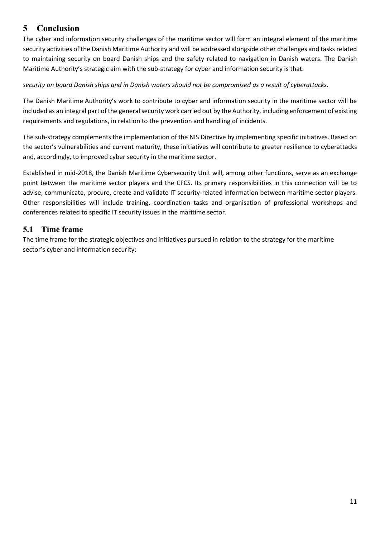# <span id="page-11-0"></span>**5 Conclusion**

The cyber and information security challenges of the maritime sector will form an integral element of the maritime security activities of the Danish Maritime Authority and will be addressed alongside other challenges and tasks related to maintaining security on board Danish ships and the safety related to navigation in Danish waters. The Danish Maritime Authority's strategic aim with the sub-strategy for cyber and information security is that:

#### *security on board Danish ships and in Danish waters should not be compromised as a result of cyberattacks.*

The Danish Maritime Authority's work to contribute to cyber and information security in the maritime sector will be included as an integral part of the general security work carried out by the Authority, including enforcement of existing requirements and regulations, in relation to the prevention and handling of incidents.

The sub-strategy complements the implementation of the NIS Directive by implementing specific initiatives. Based on the sector's vulnerabilities and current maturity, these initiatives will contribute to greater resilience to cyberattacks and, accordingly, to improved cyber security in the maritime sector.

Established in mid-2018, the Danish Maritime Cybersecurity Unit will, among other functions, serve as an exchange point between the maritime sector players and the CFCS. Its primary responsibilities in this connection will be to advise, communicate, procure, create and validate IT security-related information between maritime sector players. Other responsibilities will include training, coordination tasks and organisation of professional workshops and conferences related to specific IT security issues in the maritime sector.

#### <span id="page-11-1"></span>**5.1 Time frame**

The time frame for the strategic objectives and initiatives pursued in relation to the strategy for the maritime sector's cyber and information security: